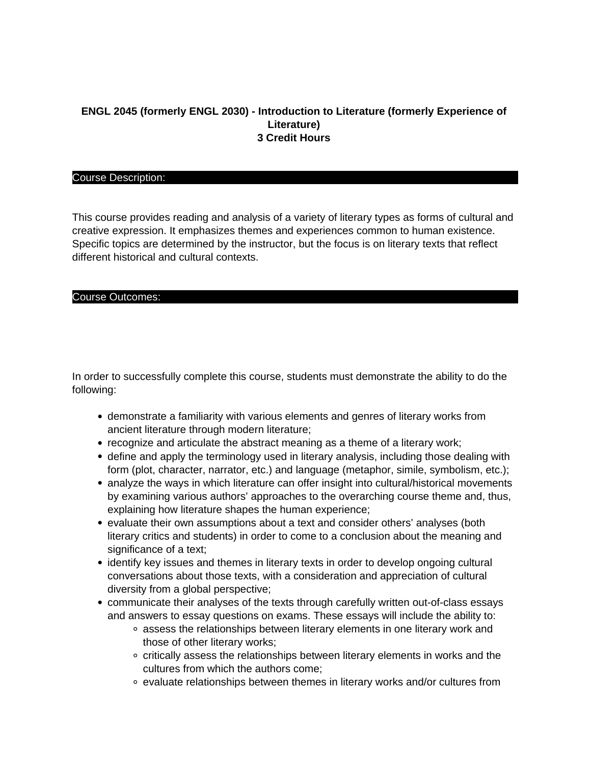## **ENGL 2045 (formerly ENGL 2030) - Introduction to Literature (formerly Experience of Literature) 3 Credit Hours**

### Course Description:

This course provides reading and analysis of a variety of literary types as forms of cultural and creative expression. It emphasizes themes and experiences common to human existence. Specific topics are determined by the instructor, but the focus is on literary texts that reflect different historical and cultural contexts.

### Course Outcomes:

In order to successfully complete this course, students must demonstrate the ability to do the following:

- demonstrate a familiarity with various elements and genres of literary works from ancient literature through modern literature;
- recognize and articulate the abstract meaning as a theme of a literary work;
- define and apply the terminology used in literary analysis, including those dealing with form (plot, character, narrator, etc.) and language (metaphor, simile, symbolism, etc.);
- analyze the ways in which literature can offer insight into cultural/historical movements by examining various authors' approaches to the overarching course theme and, thus, explaining how literature shapes the human experience;
- evaluate their own assumptions about a text and consider others' analyses (both literary critics and students) in order to come to a conclusion about the meaning and significance of a text;
- identify key issues and themes in literary texts in order to develop ongoing cultural conversations about those texts, with a consideration and appreciation of cultural diversity from a global perspective;
- communicate their analyses of the texts through carefully written out-of-class essays and answers to essay questions on exams. These essays will include the ability to:
	- o assess the relationships between literary elements in one literary work and those of other literary works;
	- $\circ$  critically assess the relationships between literary elements in works and the cultures from which the authors come;
	- evaluate relationships between themes in literary works and/or cultures from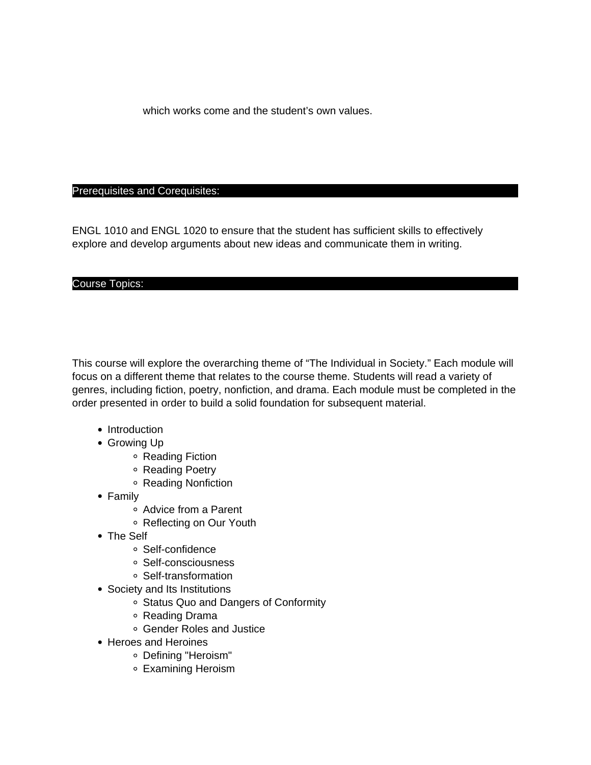which works come and the student's own values.

### Prerequisites and Corequisites:

ENGL 1010 and ENGL 1020 to ensure that the student has sufficient skills to effectively explore and develop arguments about new ideas and communicate them in writing.

### Course Topics:

This course will explore the overarching theme of "The Individual in Society." Each module will focus on a different theme that relates to the course theme. Students will read a variety of genres, including fiction, poetry, nonfiction, and drama. Each module must be completed in the order presented in order to build a solid foundation for subsequent material.

- Introduction
- Growing Up
	- Reading Fiction
	- Reading Poetry
	- Reading Nonfiction
- Family
	- Advice from a Parent
	- Reflecting on Our Youth
- The Self
	- Self-confidence
	- o Self-consciousness
	- Self-transformation
- Society and Its Institutions
	- Status Quo and Dangers of Conformity
	- Reading Drama
	- Gender Roles and Justice
- Heroes and Heroines
	- Defining "Heroism"
	- Examining Heroism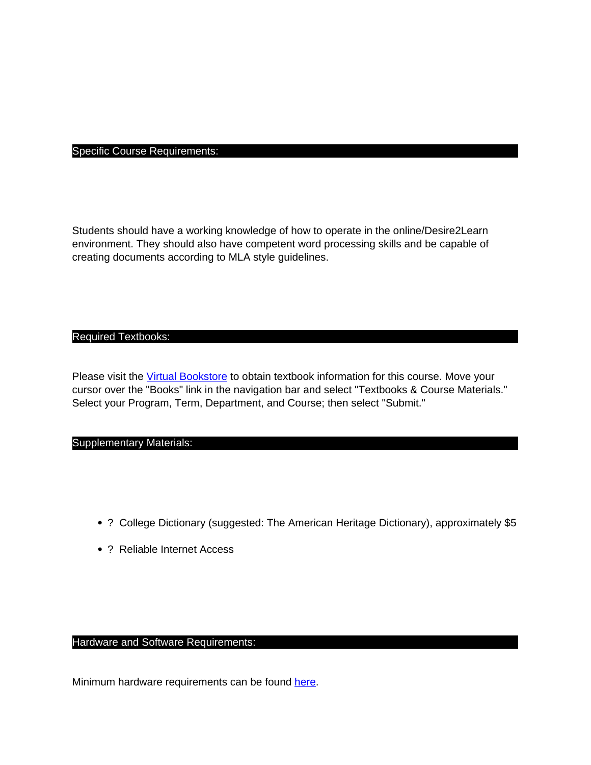# Specific Course Requirements:

Students should have a working knowledge of how to operate in the online/Desire2Learn environment. They should also have competent word processing skills and be capable of creating documents according to MLA style guidelines.

## Required Textbooks:

Please visit the [Virtual Bookstore](http://www.bkstr.com/tnecampusstore/home/en) to obtain textbook information for this course. Move your cursor over the "Books" link in the navigation bar and select "Textbooks & Course Materials." Select your Program, Term, Department, and Course; then select "Submit."

### Supplementary Materials:

- ? College Dictionary (suggested: The American Heritage Dictionary), approximately \$5
- ? Reliable Internet Access

## Hardware and Software Requirements:

Minimum hardware requirements can be found here.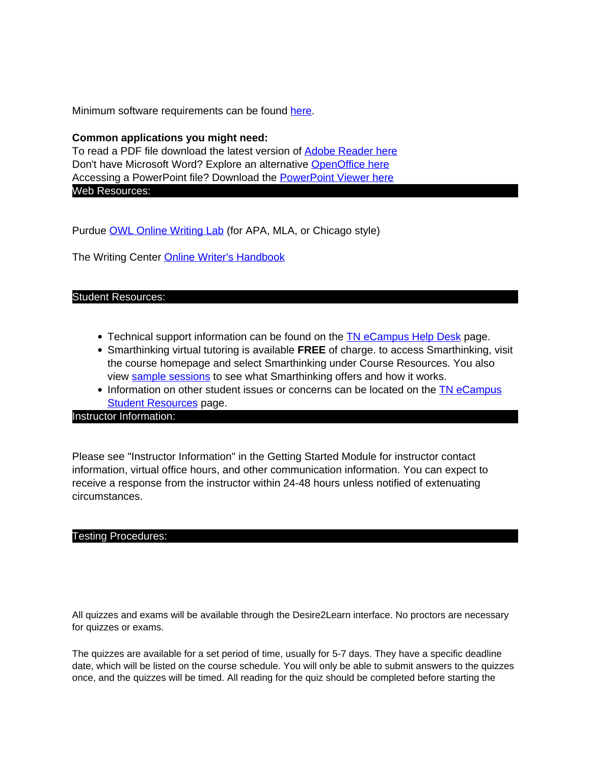Minimum software requirements can be found here.

### **Common applications you might need:**

To read a PDF file download the latest version of Adobe Reader here Don't have Microsoft Word? Explore an alternative OpenOffice here Accessing a PowerPoint file? Download the PowerPoint Viewer here Web Resources:

Purdue OWL Online Writing Lab (for APA, MLA, or Chicago style)

The Writing Center Online Writer's Handbook

### Student Resources:

- Technical support information can be found on the **TN** eCampus Help Desk page.
- Smarthinking virtual tutoring is available **FREE** of charge. to access Smarthinking, visit the course homepage and select Smarthinking under Course Resources. You also view sample sessions to see what Smarthinking offers and how it works.
- Information on other student issues or concerns can be located on the TN eCampus **Student Resources page.**

### Instructor Information:

Please see "Instructor Information" in the Getting Started Module for instructor contact information, virtual office hours, and other communication information. You can expect to receive a response from the instructor within 24-48 hours unless notified of extenuating circumstances.

### Testing Procedures:

All quizzes and exams will be available through the Desire2Learn interface. No proctors are necessary for quizzes or exams.

The quizzes are available for a set period of time, usually for 5-7 days. They have a specific deadline date, which will be listed on the course schedule. You will only be able to submit answers to the quizzes once, and the quizzes will be timed. All reading for the quiz should be completed before starting the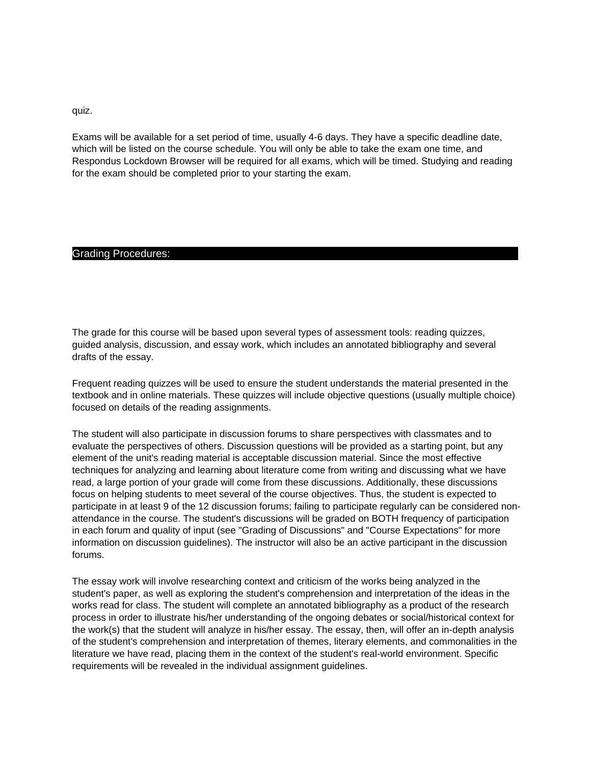quiz.

Exams will be available for a set period of time, usually 4-6 days. They have a specific deadline date, which will be listed on the course schedule. You will only be able to take the exam one time, and Respondus Lockdown Browser will be required for all exams, which will be timed. Studying and reading for the exam should be completed prior to your starting the exam.

### Grading Procedures:

The grade for this course will be based upon several types of assessment tools: reading quizzes, guided analysis, discussion, and essay work, which includes an annotated bibliography and several drafts of the essay.

Frequent reading quizzes will be used to ensure the student understands the material presented in the textbook and in online materials. These quizzes will include objective questions (usually multiple choice) focused on details of the reading assignments.

The student will also participate in discussion forums to share perspectives with classmates and to evaluate the perspectives of others. Discussion questions will be provided as a starting point, but any element of the unit's reading material is acceptable discussion material. Since the most effective techniques for analyzing and learning about literature come from writing and discussing what we have read, a large portion of your grade will come from these discussions. Additionally, these discussions focus on helping students to meet several of the course objectives. Thus, the student is expected to participate in at least 9 of the 12 discussion forums; failing to participate regularly can be considered nonattendance in the course. The student's discussions will be graded on BOTH frequency of participation in each forum and quality of input (see "Grading of Discussions" and "Course Expectations" for more information on discussion guidelines). The instructor will also be an active participant in the discussion forums.

The essay work will involve researching context and criticism of the works being analyzed in the student's paper, as well as exploring the student's comprehension and interpretation of the ideas in the works read for class. The student will complete an annotated bibliography as a product of the research process in order to illustrate his/her understanding of the ongoing debates or social/historical context for the work(s) that the student will analyze in his/her essay. The essay, then, will offer an in-depth analysis of the student's comprehension and interpretation of themes, literary elements, and commonalities in the literature we have read, placing them in the context of the student's real-world environment. Specific requirements will be revealed in the individual assignment guidelines.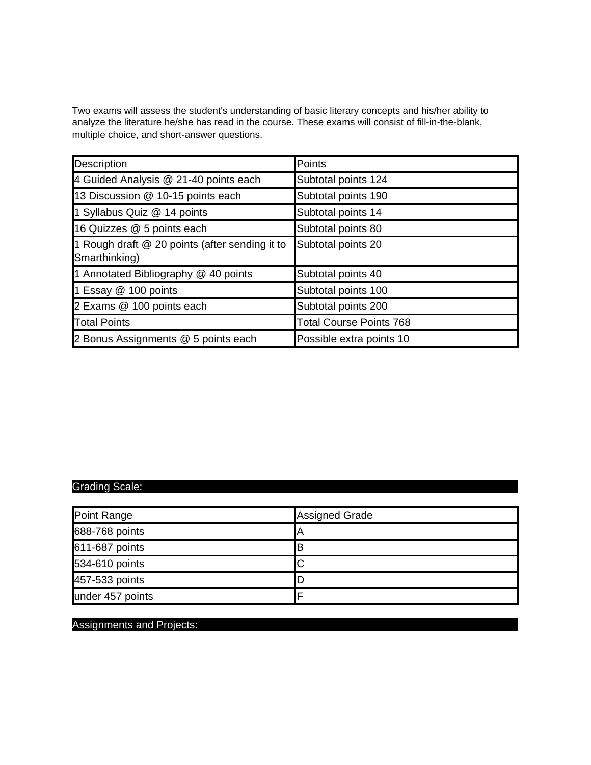Two exams will assess the student's understanding of basic literary concepts and his/her ability to analyze the literature he/she has read in the course. These exams will consist of fill-in-the-blank, multiple choice, and short-answer questions.

| Description                                                     | Points                         |
|-----------------------------------------------------------------|--------------------------------|
| 4 Guided Analysis @ 21-40 points each                           | Subtotal points 124            |
| 13 Discussion @ 10-15 points each                               | Subtotal points 190            |
| 1 Syllabus Quiz @ 14 points                                     | Subtotal points 14             |
| 16 Quizzes @ 5 points each                                      | Subtotal points 80             |
| 1 Rough draft @ 20 points (after sending it to<br>Smarthinking) | Subtotal points 20             |
| 1 Annotated Bibliography @ 40 points                            | Subtotal points 40             |
| 1 Essay @ 100 points                                            | Subtotal points 100            |
| 2 Exams @ 100 points each                                       | Subtotal points 200            |
| <b>Total Points</b>                                             | <b>Total Course Points 768</b> |
| 2 Bonus Assignments @ 5 points each                             | Possible extra points 10       |

# Grading Scale:

| Point Range      | Assigned Grade |
|------------------|----------------|
| 688-768 points   |                |
| 611-687 points   |                |
| 534-610 points   | ັ              |
| 457-533 points   |                |
| under 457 points |                |

# Assignments and Projects: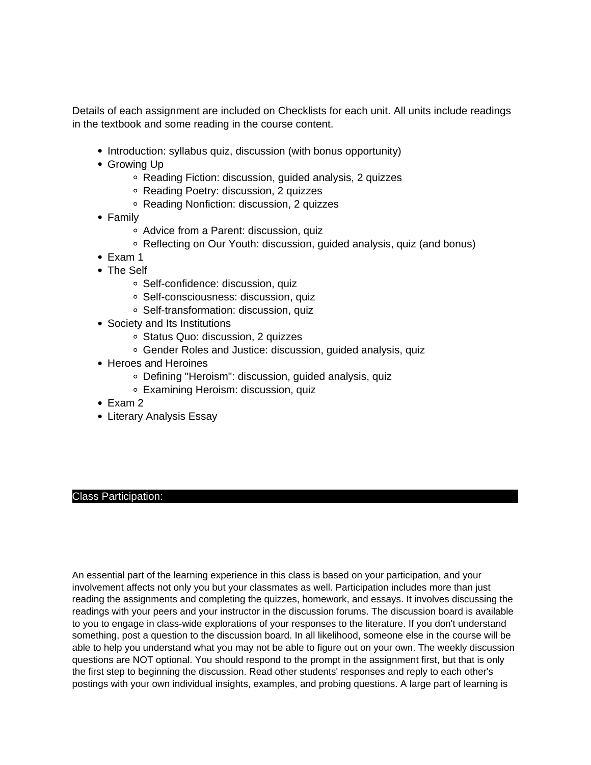Details of each assignment are included on Checklists for each unit. All units include readings in the textbook and some reading in the course content.

- Introduction: syllabus quiz, discussion (with bonus opportunity)
- Growing Up
	- Reading Fiction: discussion, guided analysis, 2 quizzes
	- Reading Poetry: discussion, 2 quizzes
	- Reading Nonfiction: discussion, 2 quizzes
- Family
	- Advice from a Parent: discussion, quiz
	- Reflecting on Our Youth: discussion, guided analysis, quiz (and bonus)
- Exam 1
- The Self
	- Self-confidence: discussion, quiz
	- Self-consciousness: discussion, quiz
	- Self-transformation: discussion, quiz
- Society and Its Institutions
	- Status Quo: discussion, 2 quizzes
	- Gender Roles and Justice: discussion, guided analysis, quiz
- Heroes and Heroines
	- Defining "Heroism": discussion, guided analysis, quiz
	- Examining Heroism: discussion, quiz
- Exam 2
- Literary Analysis Essay

### Class Participation:

An essential part of the learning experience in this class is based on your participation, and your involvement affects not only you but your classmates as well. Participation includes more than just reading the assignments and completing the quizzes, homework, and essays. It involves discussing the readings with your peers and your instructor in the discussion forums. The discussion board is available to you to engage in class-wide explorations of your responses to the literature. If you don't understand something, post a question to the discussion board. In all likelihood, someone else in the course will be able to help you understand what you may not be able to figure out on your own. The weekly discussion questions are NOT optional. You should respond to the prompt in the assignment first, but that is only the first step to beginning the discussion. Read other students' responses and reply to each other's postings with your own individual insights, examples, and probing questions. A large part of learning is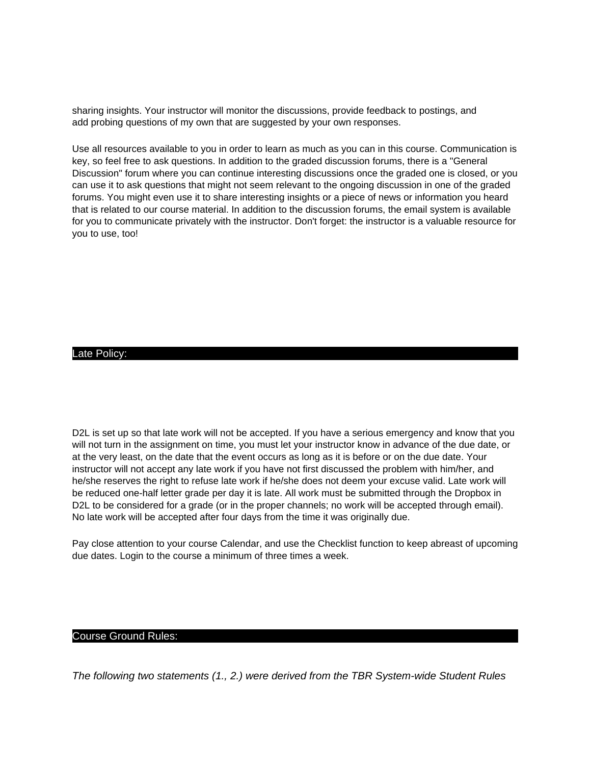sharing insights. Your instructor will monitor the discussions, provide feedback to postings, and add probing questions of my own that are suggested by your own responses.

Use all resources available to you in order to learn as much as you can in this course. Communication is key, so feel free to ask questions. In addition to the graded discussion forums, there is a "General Discussion" forum where you can continue interesting discussions once the graded one is closed, or you can use it to ask questions that might not seem relevant to the ongoing discussion in one of the graded forums. You might even use it to share interesting insights or a piece of news or information you heard that is related to our course material. In addition to the discussion forums, the email system is available for you to communicate privately with the instructor. Don't forget: the instructor is a valuable resource for you to use, too!

### Late Policy:

D2L is set up so that late work will not be accepted. If you have a serious emergency and know that you will not turn in the assignment on time, you must let your instructor know in advance of the due date, or at the very least, on the date that the event occurs as long as it is before or on the due date. Your instructor will not accept any late work if you have not first discussed the problem with him/her, and he/she reserves the right to refuse late work if he/she does not deem your excuse valid. Late work will be reduced one-half letter grade per day it is late. All work must be submitted through the Dropbox in D2L to be considered for a grade (or in the proper channels; no work will be accepted through email). No late work will be accepted after four days from the time it was originally due.

Pay close attention to your course Calendar, and use the Checklist function to keep abreast of upcoming due dates. Login to the course a minimum of three times a week.

#### Course Ground Rules:

The following two statements (1., 2.) were derived from the TBR System-wide Student Rules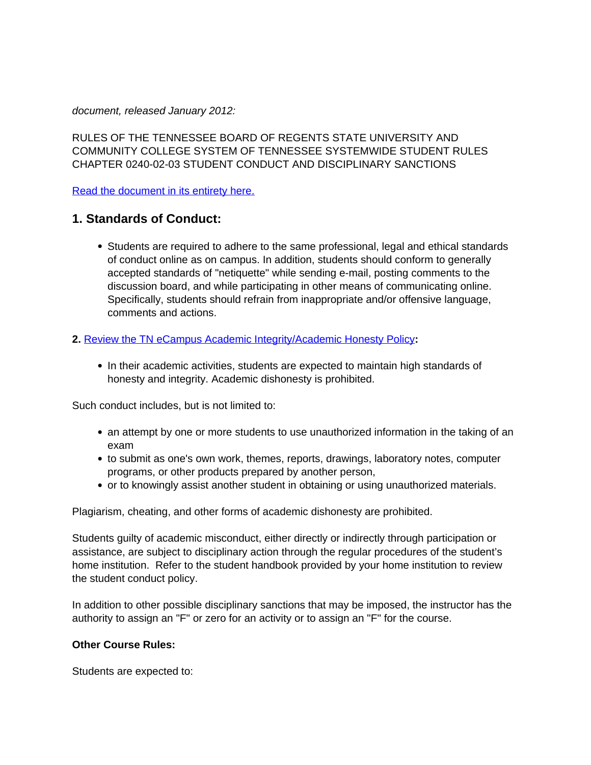document, released January 2012:

RULES OF THE TENNESSEE BOARD OF REGENTS STATE UNIVERSITY AND COMMUNITY COLLEGE SYSTEM OF TENNESSEE SYSTEMWIDE STUDENT RULES CHAPTER 0240-02-03 STUDENT CONDUCT AND DISCIPLINARY SANCTIONS

Read the document in its entirety here.

# **1. Standards of Conduct:**

• Students are required to adhere to the same professional, legal and ethical standards of conduct online as on campus. In addition, students should conform to generally accepted standards of "netiquette" while sending e-mail, posting comments to the discussion board, and while participating in other means of communicating online. Specifically, students should refrain from inappropriate and/or offensive language, comments and actions.

## **2.** Review the TN eCampus Academic Integrity/Academic Honesty Policy**:**

• In their academic activities, students are expected to maintain high standards of honesty and integrity. Academic dishonesty is prohibited.

Such conduct includes, but is not limited to:

- an attempt by one or more students to use unauthorized information in the taking of an exam
- to submit as one's own work, themes, reports, drawings, laboratory notes, computer programs, or other products prepared by another person,
- or to knowingly assist another student in obtaining or using unauthorized materials.

Plagiarism, cheating, and other forms of academic dishonesty are prohibited.

Students guilty of academic misconduct, either directly or indirectly through participation or assistance, are subject to disciplinary action through the regular procedures of the student's home institution. Refer to the student handbook provided by your home institution to review the student conduct policy.

In addition to other possible disciplinary sanctions that may be imposed, the instructor has the authority to assign an "F" or zero for an activity or to assign an "F" for the course.

## **Other Course Rules:**

Students are expected to: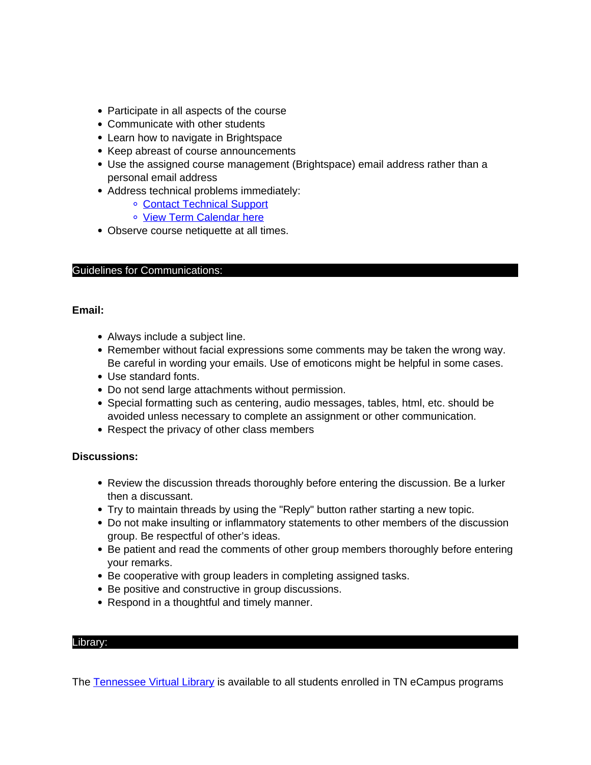- Participate in all aspects of the course
- Communicate with other students
- Learn how to navigate in Brightspace
- Keep abreast of course announcements
- Use the assigned course management (Brightspace) email address rather than a personal email address
- Address technical problems immediately:
	- Contact Technical Support
	- o View Term Calendar here
- Observe course netiquette at all times.

## Guidelines for Communications:

## **Email:**

- Always include a subject line.
- Remember without facial expressions some comments may be taken the wrong way. Be careful in wording your emails. Use of emoticons might be helpful in some cases.
- Use standard fonts.
- Do not send large attachments without permission.
- Special formatting such as centering, audio messages, tables, html, etc. should be avoided unless necessary to complete an assignment or other communication.
- Respect the privacy of other class members

## **Discussions:**

- Review the discussion threads thoroughly before entering the discussion. Be a lurker then a discussant.
- Try to maintain threads by using the "Reply" button rather starting a new topic.
- Do not make insulting or inflammatory statements to other members of the discussion group. Be respectful of other's ideas.
- Be patient and read the comments of other group members thoroughly before entering your remarks.
- Be cooperative with group leaders in completing assigned tasks.
- Be positive and constructive in group discussions.
- Respond in a thoughtful and timely manner.

### Library:

The Tennessee Virtual Library is available to all students enrolled in TN eCampus programs